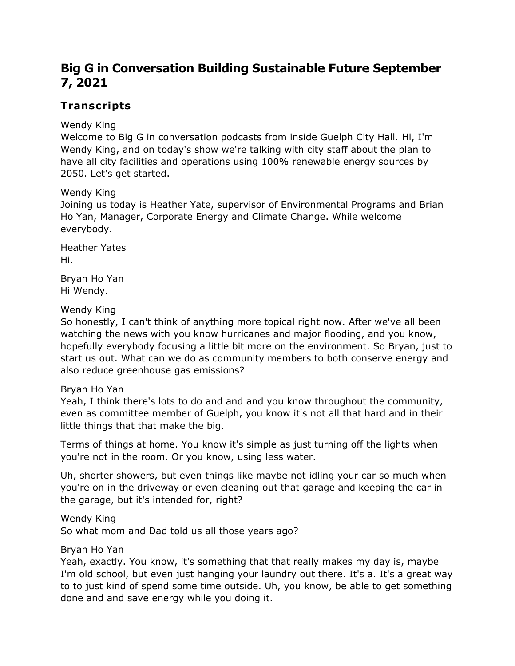# **Big G in Conversation Building Sustainable Future September 7, 2021**

# **Transcripts**

Wendy King

Welcome to Big G in conversation podcasts from inside Guelph City Hall. Hi, I'm Wendy King, and on today's show we're talking with city staff about the plan to have all city facilities and operations using 100% renewable energy sources by 2050. Let's get started.

Wendy King

Joining us today is Heather Yate, supervisor of Environmental Programs and Brian Ho Yan, Manager, Corporate Energy and Climate Change. While welcome everybody.

Heather Yates Hi.

Bryan Ho Yan Hi Wendy.

## Wendy King

So honestly, I can't think of anything more topical right now. After we've all been watching the news with you know hurricanes and major flooding, and you know, hopefully everybody focusing a little bit more on the environment. So Bryan, just to start us out. What can we do as community members to both conserve energy and also reduce greenhouse gas emissions?

## Bryan Ho Yan

Yeah, I think there's lots to do and and and you know throughout the community, even as committee member of Guelph, you know it's not all that hard and in their little things that that make the big.

Terms of things at home. You know it's simple as just turning off the lights when you're not in the room. Or you know, using less water.

Uh, shorter showers, but even things like maybe not idling your car so much when you're on in the driveway or even cleaning out that garage and keeping the car in the garage, but it's intended for, right?

Wendy King So what mom and Dad told us all those years ago?

Bryan Ho Yan

Yeah, exactly. You know, it's something that that really makes my day is, maybe I'm old school, but even just hanging your laundry out there. It's a. It's a great way to to just kind of spend some time outside. Uh, you know, be able to get something done and and save energy while you doing it.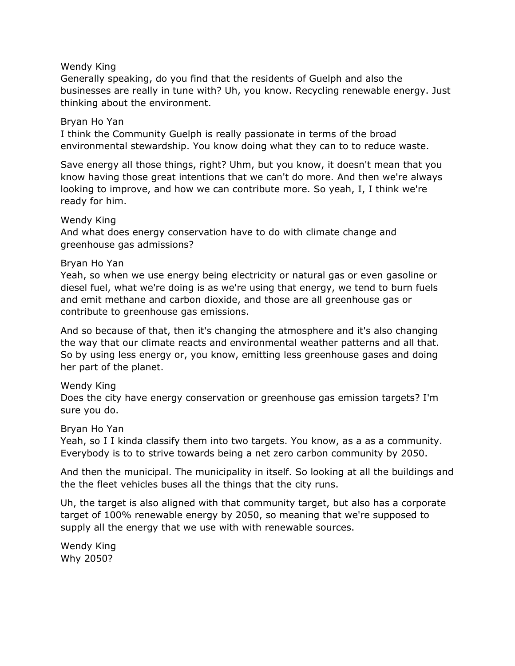### Wendy King

Generally speaking, do you find that the residents of Guelph and also the businesses are really in tune with? Uh, you know. Recycling renewable energy. Just thinking about the environment.

### Bryan Ho Yan

I think the Community Guelph is really passionate in terms of the broad environmental stewardship. You know doing what they can to to reduce waste.

Save energy all those things, right? Uhm, but you know, it doesn't mean that you know having those great intentions that we can't do more. And then we're always looking to improve, and how we can contribute more. So yeah, I, I think we're ready for him.

### Wendy King

And what does energy conservation have to do with climate change and greenhouse gas admissions?

## Bryan Ho Yan

Yeah, so when we use energy being electricity or natural gas or even gasoline or diesel fuel, what we're doing is as we're using that energy, we tend to burn fuels and emit methane and carbon dioxide, and those are all greenhouse gas or contribute to greenhouse gas emissions.

And so because of that, then it's changing the atmosphere and it's also changing the way that our climate reacts and environmental weather patterns and all that. So by using less energy or, you know, emitting less greenhouse gases and doing her part of the planet.

## Wendy King

Does the city have energy conservation or greenhouse gas emission targets? I'm sure you do.

#### Bryan Ho Yan

Yeah, so I I kinda classify them into two targets. You know, as a as a community. Everybody is to to strive towards being a net zero carbon community by 2050.

And then the municipal. The municipality in itself. So looking at all the buildings and the the fleet vehicles buses all the things that the city runs.

Uh, the target is also aligned with that community target, but also has a corporate target of 100% renewable energy by 2050, so meaning that we're supposed to supply all the energy that we use with with renewable sources.

Wendy King Why 2050?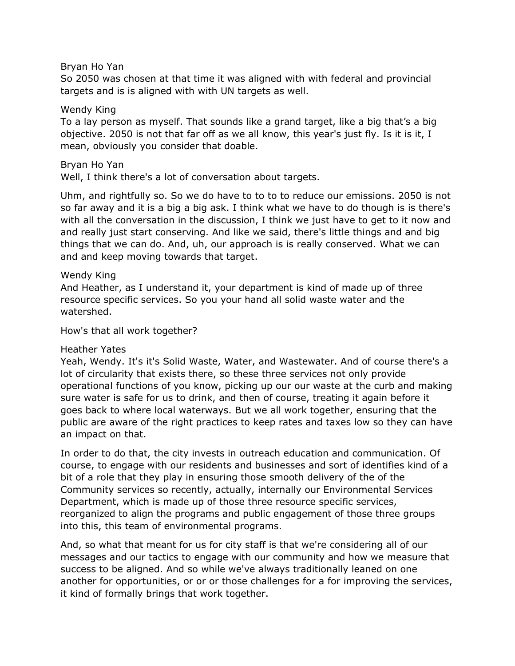Bryan Ho Yan

So 2050 was chosen at that time it was aligned with with federal and provincial targets and is is aligned with with UN targets as well.

#### Wendy King

To a lay person as myself. That sounds like a grand target, like a big that's a big objective. 2050 is not that far off as we all know, this year's just fly. Is it is it, I mean, obviously you consider that doable.

#### Bryan Ho Yan

Well, I think there's a lot of conversation about targets.

Uhm, and rightfully so. So we do have to to to to reduce our emissions. 2050 is not so far away and it is a big a big ask. I think what we have to do though is is there's with all the conversation in the discussion, I think we just have to get to it now and and really just start conserving. And like we said, there's little things and and big things that we can do. And, uh, our approach is is really conserved. What we can and and keep moving towards that target.

### Wendy King

And Heather, as I understand it, your department is kind of made up of three resource specific services. So you your hand all solid waste water and the watershed.

How's that all work together?

#### Heather Yates

Yeah, Wendy. It's it's Solid Waste, Water, and Wastewater. And of course there's a lot of circularity that exists there, so these three services not only provide operational functions of you know, picking up our our waste at the curb and making sure water is safe for us to drink, and then of course, treating it again before it goes back to where local waterways. But we all work together, ensuring that the public are aware of the right practices to keep rates and taxes low so they can have an impact on that.

In order to do that, the city invests in outreach education and communication. Of course, to engage with our residents and businesses and sort of identifies kind of a bit of a role that they play in ensuring those smooth delivery of the of the Community services so recently, actually, internally our Environmental Services Department, which is made up of those three resource specific services, reorganized to align the programs and public engagement of those three groups into this, this team of environmental programs.

And, so what that meant for us for city staff is that we're considering all of our messages and our tactics to engage with our community and how we measure that success to be aligned. And so while we've always traditionally leaned on one another for opportunities, or or or those challenges for a for improving the services, it kind of formally brings that work together.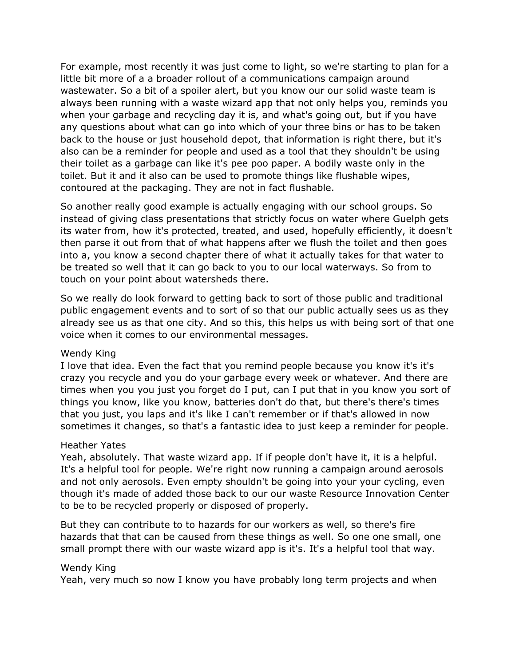For example, most recently it was just come to light, so we're starting to plan for a little bit more of a a broader rollout of a communications campaign around wastewater. So a bit of a spoiler alert, but you know our our solid waste team is always been running with a waste wizard app that not only helps you, reminds you when your garbage and recycling day it is, and what's going out, but if you have any questions about what can go into which of your three bins or has to be taken back to the house or just household depot, that information is right there, but it's also can be a reminder for people and used as a tool that they shouldn't be using their toilet as a garbage can like it's pee poo paper. A bodily waste only in the toilet. But it and it also can be used to promote things like flushable wipes, contoured at the packaging. They are not in fact flushable.

So another really good example is actually engaging with our school groups. So instead of giving class presentations that strictly focus on water where Guelph gets its water from, how it's protected, treated, and used, hopefully efficiently, it doesn't then parse it out from that of what happens after we flush the toilet and then goes into a, you know a second chapter there of what it actually takes for that water to be treated so well that it can go back to you to our local waterways. So from to touch on your point about watersheds there.

So we really do look forward to getting back to sort of those public and traditional public engagement events and to sort of so that our public actually sees us as they already see us as that one city. And so this, this helps us with being sort of that one voice when it comes to our environmental messages.

#### Wendy King

I love that idea. Even the fact that you remind people because you know it's it's crazy you recycle and you do your garbage every week or whatever. And there are times when you you just you forget do I put, can I put that in you know you sort of things you know, like you know, batteries don't do that, but there's there's times that you just, you laps and it's like I can't remember or if that's allowed in now sometimes it changes, so that's a fantastic idea to just keep a reminder for people.

## Heather Yates

Yeah, absolutely. That waste wizard app. If if people don't have it, it is a helpful. It's a helpful tool for people. We're right now running a campaign around aerosols and not only aerosols. Even empty shouldn't be going into your your cycling, even though it's made of added those back to our our waste Resource Innovation Center to be to be recycled properly or disposed of properly.

But they can contribute to to hazards for our workers as well, so there's fire hazards that that can be caused from these things as well. So one one small, one small prompt there with our waste wizard app is it's. It's a helpful tool that way.

#### Wendy King

Yeah, very much so now I know you have probably long term projects and when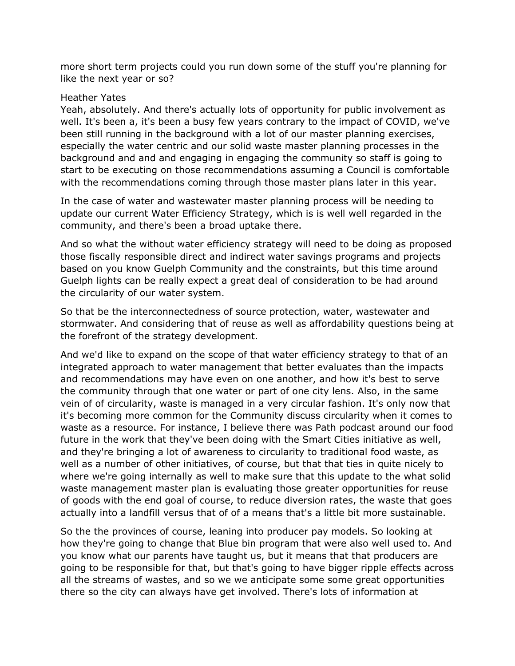more short term projects could you run down some of the stuff you're planning for like the next year or so?

#### Heather Yates

Yeah, absolutely. And there's actually lots of opportunity for public involvement as well. It's been a, it's been a busy few years contrary to the impact of COVID, we've been still running in the background with a lot of our master planning exercises, especially the water centric and our solid waste master planning processes in the background and and and engaging in engaging the community so staff is going to start to be executing on those recommendations assuming a Council is comfortable with the recommendations coming through those master plans later in this year.

In the case of water and wastewater master planning process will be needing to update our current Water Efficiency Strategy, which is is well well regarded in the community, and there's been a broad uptake there.

And so what the without water efficiency strategy will need to be doing as proposed those fiscally responsible direct and indirect water savings programs and projects based on you know Guelph Community and the constraints, but this time around Guelph lights can be really expect a great deal of consideration to be had around the circularity of our water system.

So that be the interconnectedness of source protection, water, wastewater and stormwater. And considering that of reuse as well as affordability questions being at the forefront of the strategy development.

And we'd like to expand on the scope of that water efficiency strategy to that of an integrated approach to water management that better evaluates than the impacts and recommendations may have even on one another, and how it's best to serve the community through that one water or part of one city lens. Also, in the same vein of of circularity, waste is managed in a very circular fashion. It's only now that it's becoming more common for the Community discuss circularity when it comes to waste as a resource. For instance, I believe there was Path podcast around our food future in the work that they've been doing with the Smart Cities initiative as well, and they're bringing a lot of awareness to circularity to traditional food waste, as well as a number of other initiatives, of course, but that that ties in quite nicely to where we're going internally as well to make sure that this update to the what solid waste management master plan is evaluating those greater opportunities for reuse of goods with the end goal of course, to reduce diversion rates, the waste that goes actually into a landfill versus that of of a means that's a little bit more sustainable.

So the the provinces of course, leaning into producer pay models. So looking at how they're going to change that Blue bin program that were also well used to. And you know what our parents have taught us, but it means that that producers are going to be responsible for that, but that's going to have bigger ripple effects across all the streams of wastes, and so we we anticipate some some great opportunities there so the city can always have get involved. There's lots of information at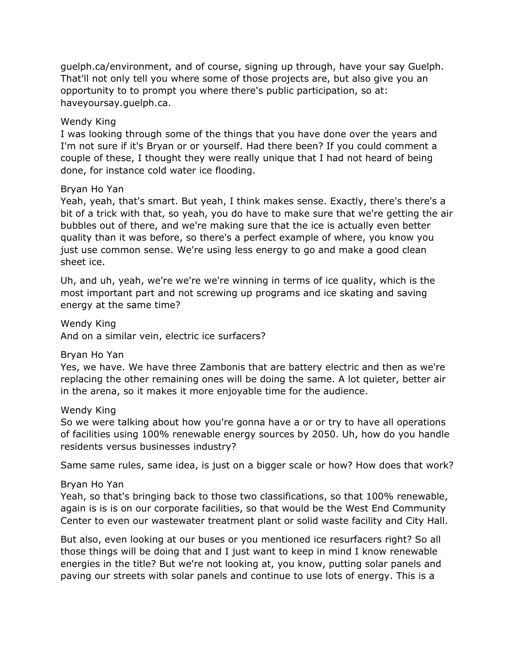guelph.ca/environment, and of course, signing up through, have your say Guelph. That'll not only tell you where some of those projects are, but also give you an opportunity to to prompt you where there's public participation, so at: haveyoursay.guelph.ca.

## Wendy King

I was looking through some of the things that you have done over the years and I'm not sure if it's Bryan or or yourself. Had there been? If you could comment a couple of these, I thought they were really unique that I had not heard of being done, for instance cold water ice flooding.

## Bryan Ho Yan

Yeah, yeah, that's smart. But yeah, I think makes sense. Exactly, there's there's a bit of a trick with that, so yeah, you do have to make sure that we're getting the air bubbles out of there, and we're making sure that the ice is actually even better quality than it was before, so there's a perfect example of where, you know you just use common sense. We're using less energy to go and make a good clean sheet ice.

Uh, and uh, yeah, we're we're we're winning in terms of ice quality, which is the most important part and not screwing up programs and ice skating and saving energy at the same time?

Wendy King And on a similar vein, electric ice surfacers?

Bryan Ho Yan

Yes, we have. We have three Zambonis that are battery electric and then as we're replacing the other remaining ones will be doing the same. A lot quieter, better air in the arena, so it makes it more enjoyable time for the audience.

Wendy King

So we were talking about how you're gonna have a or or try to have all operations of facilities using 100% renewable energy sources by 2050. Uh, how do you handle residents versus businesses industry?

Same same rules, same idea, is just on a bigger scale or how? How does that work?

# Bryan Ho Yan

Yeah, so that's bringing back to those two classifications, so that 100% renewable, again is is is on our corporate facilities, so that would be the West End Community Center to even our wastewater treatment plant or solid waste facility and City Hall.

But also, even looking at our buses or you mentioned ice resurfacers right? So all those things will be doing that and I just want to keep in mind I know renewable energies in the title? But we're not looking at, you know, putting solar panels and paving our streets with solar panels and continue to use lots of energy. This is a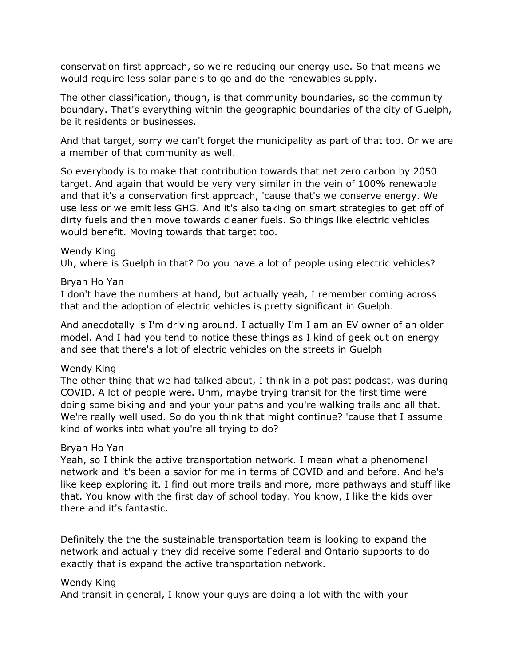conservation first approach, so we're reducing our energy use. So that means we would require less solar panels to go and do the renewables supply.

The other classification, though, is that community boundaries, so the community boundary. That's everything within the geographic boundaries of the city of Guelph, be it residents or businesses.

And that target, sorry we can't forget the municipality as part of that too. Or we are a member of that community as well.

So everybody is to make that contribution towards that net zero carbon by 2050 target. And again that would be very very similar in the vein of 100% renewable and that it's a conservation first approach, 'cause that's we conserve energy. We use less or we emit less GHG. And it's also taking on smart strategies to get off of dirty fuels and then move towards cleaner fuels. So things like electric vehicles would benefit. Moving towards that target too.

#### Wendy King

Uh, where is Guelph in that? Do you have a lot of people using electric vehicles?

#### Bryan Ho Yan

I don't have the numbers at hand, but actually yeah, I remember coming across that and the adoption of electric vehicles is pretty significant in Guelph.

And anecdotally is I'm driving around. I actually I'm I am an EV owner of an older model. And I had you tend to notice these things as I kind of geek out on energy and see that there's a lot of electric vehicles on the streets in Guelph

#### Wendy King

The other thing that we had talked about, I think in a pot past podcast, was during COVID. A lot of people were. Uhm, maybe trying transit for the first time were doing some biking and and your your paths and you're walking trails and all that. We're really well used. So do you think that might continue? 'cause that I assume kind of works into what you're all trying to do?

#### Bryan Ho Yan

Yeah, so I think the active transportation network. I mean what a phenomenal network and it's been a savior for me in terms of COVID and and before. And he's like keep exploring it. I find out more trails and more, more pathways and stuff like that. You know with the first day of school today. You know, I like the kids over there and it's fantastic.

Definitely the the the sustainable transportation team is looking to expand the network and actually they did receive some Federal and Ontario supports to do exactly that is expand the active transportation network.

#### Wendy King

And transit in general, I know your guys are doing a lot with the with your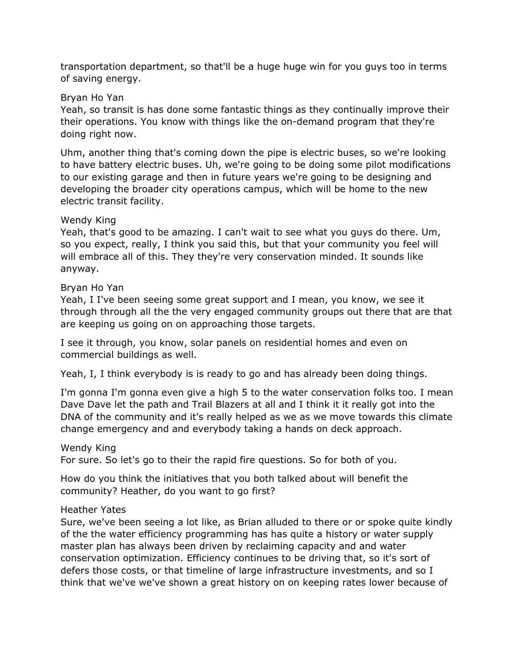transportation department, so that'll be a huge huge win for you guys too in terms of saving energy.

## Bryan Ho Yan

Yeah, so transit is has done some fantastic things as they continually improve their their operations. You know with things like the on-demand program that they're doing right now.

Uhm, another thing that's coming down the pipe is electric buses, so we're looking to have battery electric buses. Uh, we're going to be doing some pilot modifications to our existing garage and then in future years we're going to be designing and developing the broader city operations campus, which will be home to the new electric transit facility.

## Wendy King

Yeah, that's good to be amazing. I can't wait to see what you guys do there. Um, so you expect, really, I think you said this, but that your community you feel will will embrace all of this. They they're very conservation minded. It sounds like anyway.

## Bryan Ho Yan

Yeah, I I've been seeing some great support and I mean, you know, we see it through through all the the very engaged community groups out there that are that are keeping us going on on approaching those targets.

I see it through, you know, solar panels on residential homes and even on commercial buildings as well.

Yeah, I, I think everybody is is ready to go and has already been doing things.

I'm gonna I'm gonna even give a high 5 to the water conservation folks too. I mean Dave Dave let the path and Trail Blazers at all and I think it it really got into the DNA of the community and it's really helped as we as we move towards this climate change emergency and and everybody taking a hands on deck approach.

## Wendy King

For sure. So let's go to their the rapid fire questions. So for both of you.

How do you think the initiatives that you both talked about will benefit the community? Heather, do you want to go first?

## Heather Yates

Sure, we've been seeing a lot like, as Brian alluded to there or or spoke quite kindly of the the water efficiency programming has has quite a history or water supply master plan has always been driven by reclaiming capacity and and water conservation optimization. Efficiency continues to be driving that, so it's sort of defers those costs, or that timeline of large infrastructure investments, and so I think that we've we've shown a great history on on keeping rates lower because of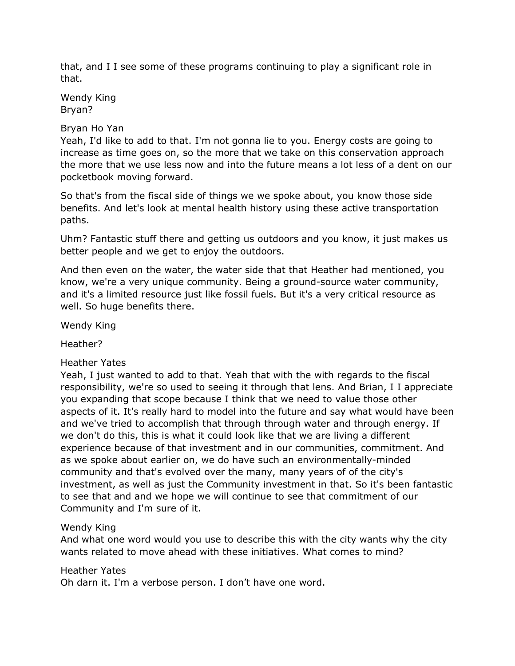that, and I I see some of these programs continuing to play a significant role in that.

Wendy King Bryan?

## Bryan Ho Yan

Yeah, I'd like to add to that. I'm not gonna lie to you. Energy costs are going to increase as time goes on, so the more that we take on this conservation approach the more that we use less now and into the future means a lot less of a dent on our pocketbook moving forward.

So that's from the fiscal side of things we we spoke about, you know those side benefits. And let's look at mental health history using these active transportation paths.

Uhm? Fantastic stuff there and getting us outdoors and you know, it just makes us better people and we get to enjoy the outdoors.

And then even on the water, the water side that that Heather had mentioned, you know, we're a very unique community. Being a ground-source water community, and it's a limited resource just like fossil fuels. But it's a very critical resource as well. So huge benefits there.

Wendy King

Heather?

## Heather Yates

Yeah, I just wanted to add to that. Yeah that with the with regards to the fiscal responsibility, we're so used to seeing it through that lens. And Brian, I I appreciate you expanding that scope because I think that we need to value those other aspects of it. It's really hard to model into the future and say what would have been and we've tried to accomplish that through through water and through energy. If we don't do this, this is what it could look like that we are living a different experience because of that investment and in our communities, commitment. And as we spoke about earlier on, we do have such an environmentally-minded community and that's evolved over the many, many years of of the city's investment, as well as just the Community investment in that. So it's been fantastic to see that and and we hope we will continue to see that commitment of our Community and I'm sure of it.

## Wendy King

And what one word would you use to describe this with the city wants why the city wants related to move ahead with these initiatives. What comes to mind?

## Heather Yates

Oh darn it. I'm a verbose person. I don't have one word.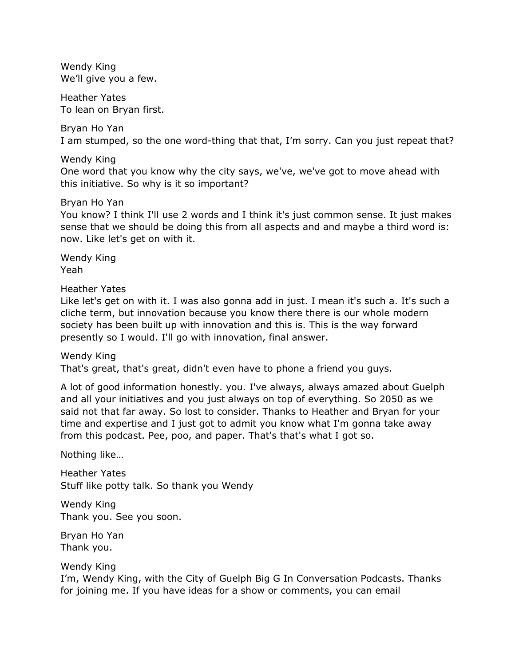Wendy King We'll give you a few.

Heather Yates To lean on Bryan first.

Bryan Ho Yan I am stumped, so the one word-thing that that, I'm sorry. Can you just repeat that?

Wendy King

One word that you know why the city says, we've, we've got to move ahead with this initiative. So why is it so important?

Bryan Ho Yan

You know? I think I'll use 2 words and I think it's just common sense. It just makes sense that we should be doing this from all aspects and and maybe a third word is: now. Like let's get on with it.

Wendy King Yeah

Heather Yates

Like let's get on with it. I was also gonna add in just. I mean it's such a. It's such a cliche term, but innovation because you know there there is our whole modern society has been built up with innovation and this is. This is the way forward presently so I would. I'll go with innovation, final answer.

Wendy King That's great, that's great, didn't even have to phone a friend you guys.

A lot of good information honestly. you. I've always, always amazed about Guelph and all your initiatives and you just always on top of everything. So 2050 as we said not that far away. So lost to consider. Thanks to Heather and Bryan for your time and expertise and I just got to admit you know what I'm gonna take away from this podcast. Pee, poo, and paper. That's that's what I got so.

Nothing like…

Heather Yates Stuff like potty talk. So thank you Wendy

Wendy King Thank you. See you soon.

Bryan Ho Yan Thank you.

Wendy King

I'm, Wendy King, with the City of Guelph Big G In Conversation Podcasts. Thanks for joining me. If you have ideas for a show or comments, you can email